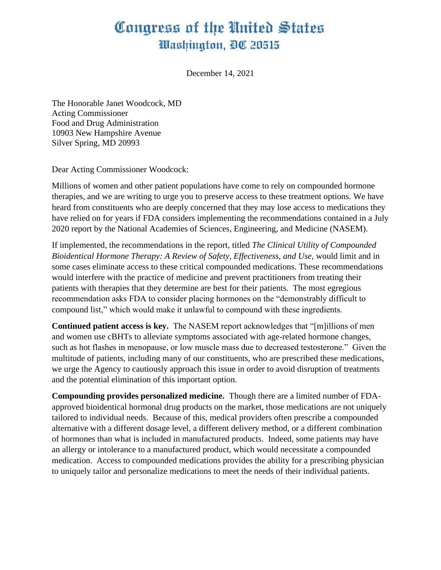## Congress of the United States Washington, DC 20515

December 14, 2021

The Honorable Janet Woodcock, MD Acting Commissioner Food and Drug Administration 10903 New Hampshire Avenue Silver Spring, MD 20993

Dear Acting Commissioner Woodcock:

Millions of women and other patient populations have come to rely on compounded hormone therapies, and we are writing to urge you to preserve access to these treatment options. We have heard from constituents who are deeply concerned that they may lose access to medications they have relied on for years if FDA considers implementing the recommendations contained in a July 2020 report by the National Academies of Sciences, Engineering, and Medicine (NASEM).

If implemented, the recommendations in the report, titled *The Clinical Utility of Compounded Bioidentical Hormone Therapy: A Review of Safety, Effectiveness, and Use,* would limit and in some cases eliminate access to these critical compounded medications. These recommendations would interfere with the practice of medicine and prevent practitioners from treating their patients with therapies that they determine are best for their patients. The most egregious recommendation asks FDA to consider placing hormones on the "demonstrably difficult to compound list," which would make it unlawful to compound with these ingredients.

**Continued patient access is key.** The NASEM report acknowledges that "[m]illions of men and women use cBHTs to alleviate symptoms associated with age-related hormone changes, such as hot flashes in menopause, or low muscle mass due to decreased testosterone." Given the multitude of patients, including many of our constituents, who are prescribed these medications, we urge the Agency to cautiously approach this issue in order to avoid disruption of treatments and the potential elimination of this important option.

**Compounding provides personalized medicine.** Though there are a limited number of FDAapproved bioidentical hormonal drug products on the market, those medications are not uniquely tailored to individual needs. Because of this, medical providers often prescribe a compounded alternative with a different dosage level, a different delivery method, or a different combination of hormones than what is included in manufactured products. Indeed, some patients may have an allergy or intolerance to a manufactured product, which would necessitate a compounded medication. Access to compounded medications provides the ability for a prescribing physician to uniquely tailor and personalize medications to meet the needs of their individual patients.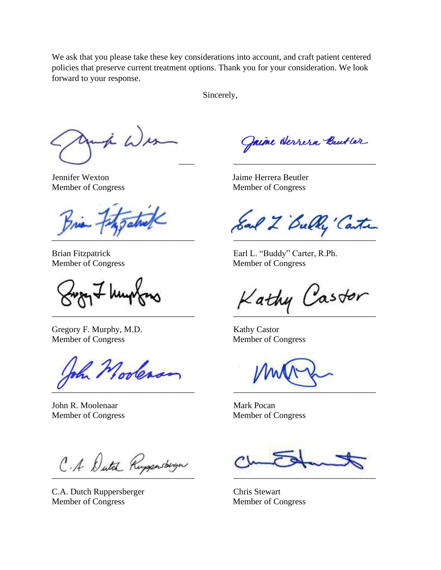We ask that you please take these key considerations into account, and craft patient centered policies that preserve current treatment options. Thank you for your consideration. We look forward to your response.

Sincerely,

to Wes \_\_\_\_\_\_\_\_\_\_\_\_\_\_\_\_\_\_\_\_\_\_\_\_\_\_\_\_\_\_\_\_\_ \_\_\_\_\_\_\_\_\_\_\_\_\_\_\_\_\_\_\_\_\_\_\_\_\_\_\_\_\_\_\_\_\_

Gregory F. Murphy, M.D. Kathy Castor Member of Congress Member of Congress

Nooleaan  $\overline{\phantom{a}}$ 

John R. Moolenaar Mark Pocan Member of Congress Member of Congress

 $\overline{a}$  ,  $\overline{a}$  ,  $\overline{a}$  ,  $\overline{a}$  ,  $\overline{a}$  ,  $\overline{a}$  ,  $\overline{a}$  ,  $\overline{a}$  ,  $\overline{a}$  ,  $\overline{a}$  ,  $\overline{a}$  ,  $\overline{a}$  ,  $\overline{a}$  ,  $\overline{a}$  ,  $\overline{a}$  ,  $\overline{a}$  ,  $\overline{a}$  ,  $\overline{a}$  ,  $\overline{a}$  ,  $\overline{a}$  ,

C.A. Dutch Ruppersberger Chris Stewart Member of Congress Member of Congress

Jaime Herrera Beutler

Jennifer Wexton Jaime Herrera Beutler Member of Congress Member of Congress

Sal 2 Bully Carter

Brian Fitzpatrick Earl L. "Buddy" Carter, R.Ph. Member of Congress Member of Congress

 $K$ athy Castor